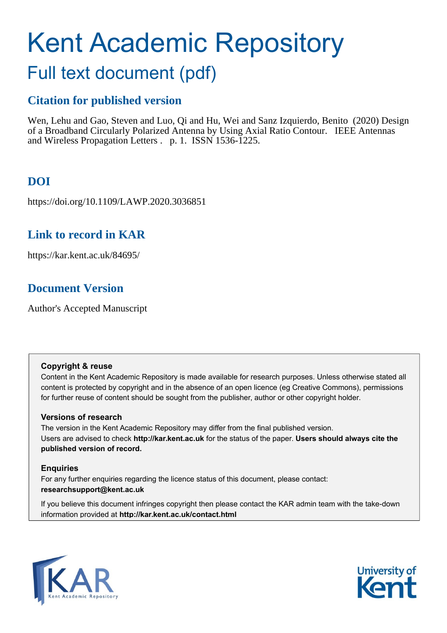# Kent Academic Repository

# Full text document (pdf)

# **Citation for published version**

Wen, Lehu and Gao, Steven and Luo, Qi and Hu, Wei and Sanz Izquierdo, Benito (2020) Design of a Broadband Circularly Polarized Antenna by Using Axial Ratio Contour. IEEE Antennas and Wireless Propagation Letters . p. 1. ISSN 1536-1225.

# **DOI**

https://doi.org/10.1109/LAWP.2020.3036851

# **Link to record in KAR**

https://kar.kent.ac.uk/84695/

# **Document Version**

Author's Accepted Manuscript

## **Copyright & reuse**

Content in the Kent Academic Repository is made available for research purposes. Unless otherwise stated all content is protected by copyright and in the absence of an open licence (eg Creative Commons), permissions for further reuse of content should be sought from the publisher, author or other copyright holder.

## **Versions of research**

The version in the Kent Academic Repository may differ from the final published version. Users are advised to check **http://kar.kent.ac.uk** for the status of the paper. **Users should always cite the published version of record.**

## **Enquiries**

For any further enquiries regarding the licence status of this document, please contact: **researchsupport@kent.ac.uk**

If you believe this document infringes copyright then please contact the KAR admin team with the take-down information provided at **http://kar.kent.ac.uk/contact.html**



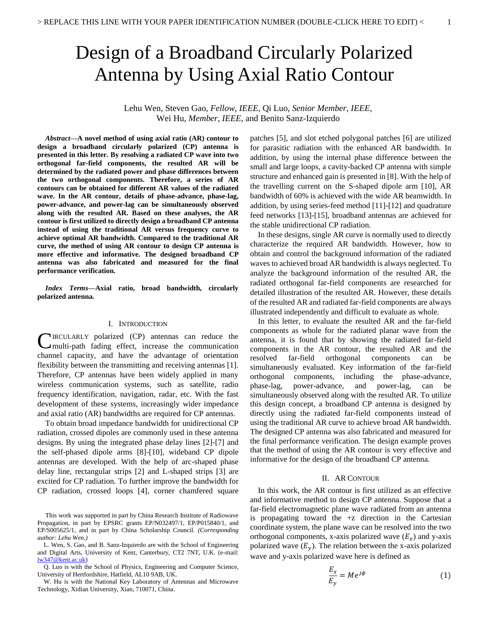# Design of a Broadband Circularly Polarized Antenna by Using Axial Ratio Contour

Lehu Wen, Steven Gao, *Fellow, IEEE*, Qi Luo, *Senior Member, IEEE,*  Wei Hu, *Member, IEEE*, and Benito Sanz-Izquierdo

*Abstract***—A novel method of using axial ratio (AR) contour to design a broadband circularly polarized (CP) antenna is presented in this letter. By resolving a radiated CP wave into two orthogonal far-field components, the resulted AR will be determined by the radiated power and phase differences between the two orthogonal components. Therefore, a series of AR contours can be obtained for different AR values of the radiated wave. In the AR contour, details of phase-advance, phase-lag, power-advance, and power-lag can be simultaneously observed along with the resulted AR. Based on these analyses, the AR contour is first utilized to directly design a broadband CP antenna instead of using the traditional AR versus frequency curve to achieve optimal AR bandwidth. Compared to the traditional AR curve, the method of using AR contour to design CP antenna is more effective and informative. The designed broadband CP antenna was also fabricated and measured for the final performance verification.**

*Index Terms***—Axial ratio, broad bandwidth, circularly polarized antenna.**

#### I. INTRODUCTION

CIRCULARLY polarized (CP) antennas can reduce the communication fading effect, increase the communication multi-path fading effect, increase the communication channel capacity, and have the advantage of orientation flexibility between the transmitting and receiving antennas [1]. Therefore, CP antennas have been widely applied in many wireless communication systems, such as satellite, radio frequency identification, navigation, radar, etc. With the fast development of these systems, increasingly wider impedance and axial ratio (AR) bandwidths are required for CP antennas.

To obtain broad impedance bandwidth for unidirectional CP radiation, crossed dipoles are commonly used in these antenna designs. By using the integrated phase delay lines [2]-[7] and the self-phased dipole arms [8]-[10], wideband CP dipole antennas are developed. With the help of arc-shaped phase delay line, rectangular strips [2] and L-shaped strips [3] are excited for CP radiation. To further improve the bandwidth for CP radiation, crossed loops [4], corner chamfered square

This work was supported in part by China Research Institute of Radiowave Propagation, in part by EPSRC grants EP/N032497/1, EP/P015840/1, and EP/S005625/1, and in part by China Scholarship Council. *(Corresponding author: Lehu Wen.)*

L. Wen, S. Gao, and B. Sanz-Izquierdo are with the School of Engineering and Digital Arts, University of Kent, Canterbury, CT2 7NT, U.K. (e-mail: [lw347@kent.ac.uk\)](mailto:lw347@kent.ac.uk)

Q. Luo is with the School of Physics, Engineering and Computer Science, University of Hertfordshire, Hatfield, AL10 9AB, UK.

W. Hu is with the National Key Laboratory of Antennas and Microwave Technology, Xidian University, Xian, 710071, China.

patches [5], and slot etched polygonal patches [6] are utilized for parasitic radiation with the enhanced AR bandwidth. In addition, by using the internal phase difference between the small and large loops, a cavity-backed CP antenna with simple structure and enhanced gain is presented in [8]. With the help of the travelling current on the S-shaped dipole arm [10], AR bandwidth of 60% is achieved with the wide AR beamwidth. In addition, by using series-feed method [11]-[12] and quadrature feed networks [13]-[15], broadband antennas are achieved for the stable unidirectional CP radiation.

In these designs, single AR curve is normally used to directly characterize the required AR bandwidth. However, how to obtain and control the background information of the radiated waves to achieved broad AR bandwidth is always neglected. To analyze the background information of the resulted AR, the radiated orthogonal far-field components are researched for detailed illustration of the resulted AR. However, these details of the resulted AR and radiated far-field components are always illustrated independently and difficult to evaluate as whole.

In this letter, to evaluate the resulted AR and the far-field components as whole for the radiated planar wave from the antenna, it is found that by showing the radiated far-field components in the AR contour, the resulted AR and the resolved far-field orthogonal components can be simultaneously evaluated. Key information of the far-field orthogonal components, including the phase-advance, phase-lag, power-advance, and power-lag, can be simultaneously observed along with the resulted AR. To utilize this design concept, a broadband CP antenna is designed by directly using the radiated far-field components instead of using the traditional AR curve to achieve broad AR bandwidth. The designed CP antenna was also fabricated and measured for the final performance verification. The design example proves that the method of using the AR contour is very effective and informative for the design of the broadband CP antenna.

#### II. AR CONTOUR

In this work, the AR contour is first utilized as an effective and informative method to design CP antenna. Suppose that a far-field electromagnetic plane wave radiated from an antenna is propagating toward the  $+z$  direction in the Cartesian coordinate system, the plane wave can be resolved into the two orthogonal components, x-axis polarized wave  $(E_x)$  and y-axis polarized wave  $(E_v)$ . The relation between the x-axis polarized wave and y-axis polarized wave here is defined as

$$
\frac{E_x}{E_y} = Me^{j\phi} \tag{1}
$$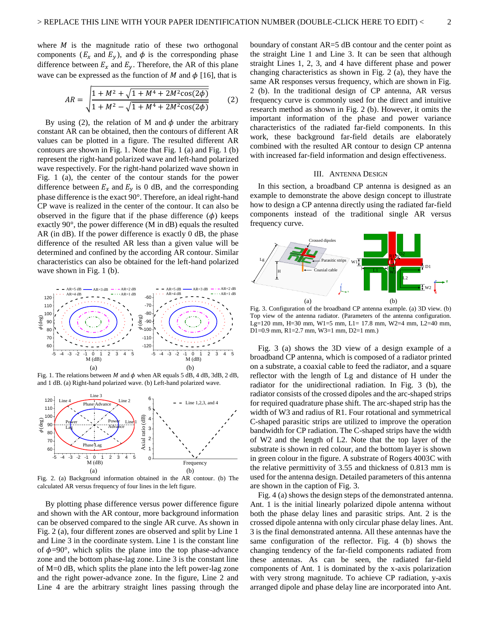where  $M$  is the magnitude ratio of these two orthogonal components ( $E_x$  and  $E_y$ ), and  $\phi$  is the corresponding phase difference between  $E_x$  and  $E_y$ . Therefore, the AR of this plane wave can be expressed as the function of M and  $\phi$  [16], that is

$$
AR = \sqrt{\frac{1 + M^2 + \sqrt{1 + M^4 + 2M^2 \cos(2\phi)}}{1 + M^2 - \sqrt{1 + M^4 + 2M^2 \cos(2\phi)}}}
$$
(2)

By using (2), the relation of M and  $\phi$  under the arbitrary constant AR can be obtained, then the contours of different AR values can be plotted in a figure. The resulted different AR contours are shown in Fig. 1. Note that Fig. 1 (a) and Fig. 1 (b) represent the right-hand polarized wave and left-hand polarized wave respectively. For the right-hand polarized wave shown in Fig. 1 (a), the center of the contour stands for the power difference between  $E_x$  and  $E_y$  is 0 dB, and the corresponding phase difference is the exact 90°. Therefore, an ideal right-hand CP wave is realized in the center of the contour. It can also be observed in the figure that if the phase difference  $(\phi)$  keeps exactly 90°, the power difference (M in dB) equals the resulted AR (in dB). If the power difference is exactly 0 dB, the phase difference of the resulted AR less than a given value will be determined and confined by the according AR contour. Similar characteristics can also be obtained for the left-hand polarized wave shown in Fig. 1 (b).



Fig. 1. The relations between M and  $\phi$  when AR equals 5 dB, 4 dB, 3dB, 2 dB, and 1 dB. (a) Right-hand polarized wave. (b) Left-hand polarized wave.



Fig. 2. (a) Background information obtained in the AR contour. (b) The calculated AR versus frequency of four lines in the left figure.

By plotting phase difference versus power difference figure and shown with the AR contour, more background information can be observed compared to the single AR curve. As shown in Fig. 2 (a), four different zones are observed and split by Line 1 and Line 3 in the coordinate system. Line 1 is the constant line of  $\phi = 90^{\circ}$ , which splits the plane into the top phase-advance zone and the bottom phase-lag zone. Line 3 is the constant line of M=0 dB, which splits the plane into the left power-lag zone and the right power-advance zone. In the figure, Line 2 and Line 4 are the arbitrary straight lines passing through the

boundary of constant AR=5 dB contour and the center point as the straight Line 1 and Line 3. It can be seen that although straight Lines 1, 2, 3, and 4 have different phase and power changing characteristics as shown in Fig. 2 (a), they have the same AR responses versus frequency, which are shown in Fig. 2 (b). In the traditional design of CP antenna, AR versus frequency curve is commonly used for the direct and intuitive research method as shown in Fig. 2 (b). However, it omits the important information of the phase and power variance characteristics of the radiated far-field components. In this work, these background far-field details are elaborately combined with the resulted AR contour to design CP antenna with increased far-field information and design effectiveness.

#### III. ANTENNA DESIGN

In this section, a broadband CP antenna is designed as an example to demonstrate the above design concept to illustrate how to design a CP antenna directly using the radiated far-field components instead of the traditional single AR versus frequency curve.



Fig. 3. Configuration of the broadband CP antenna example. (a) 3D view. (b) Top view of the antenna radiator. (Parameters of the antenna configuration. Lg=120 mm, H=30 mm, W1=5 mm, L1= 17.8 mm, W2=4 mm, L2=40 mm, D1=0.9 mm, R1=2.7 mm, W3=1 mm, D2=1 mm.)

Fig. 3 (a) shows the 3D view of a design example of a  $\begin{array}{ccc} 5 & 4 & 3 & 2 & 1 & 0 & 1 & 2 & 3 & 4 & 5 \\ \hline M_{(dB)} & & & & \end{array}$  broadband CP antenna, which is composed of a radiator printed on a substrate, a coaxial cable to feed the radiator, and a square reflector with the length of Lg and distance of H under the radiator for the unidirectional radiation. In Fig. 3 (b), the radiator consists of the crossed dipoles and the arc-shaped strips for required quadrature phase shift. The arc-shaped strip has the width of W3 and radius of R1. Four rotational and symmetrical C-shaped parasitic strips are utilized to improve the operation bandwidth for CP radiation. The C-shaped strips have the width of W2 and the length of L2. Note that the top layer of the substrate is shown in red colour, and the bottom layer is shown in green colour in the figure. A substrate of Rogers 4003C with the relative permittivity of 3.55 and thickness of 0.813 mm is used for the antenna design. Detailed parameters of this antenna are shown in the caption of Fig. 3.

> Fig. 4 (a) shows the design steps of the demonstrated antenna. Ant. 1 is the initial linearly polarized dipole antenna without both the phase delay lines and parasitic strips. Ant. 2 is the crossed dipole antenna with only circular phase delay lines. Ant. 3 is the final demonstrated antenna. All these antennas have the same configuration of the reflector. Fig. 4 (b) shows the changing tendency of the far-field components radiated from these antennas. As can be seen, the radiated far-field components of Ant. 1 is dominated by the x-axis polarization with very strong magnitude. To achieve CP radiation, y-axis arranged dipole and phase delay line are incorporated into Ant.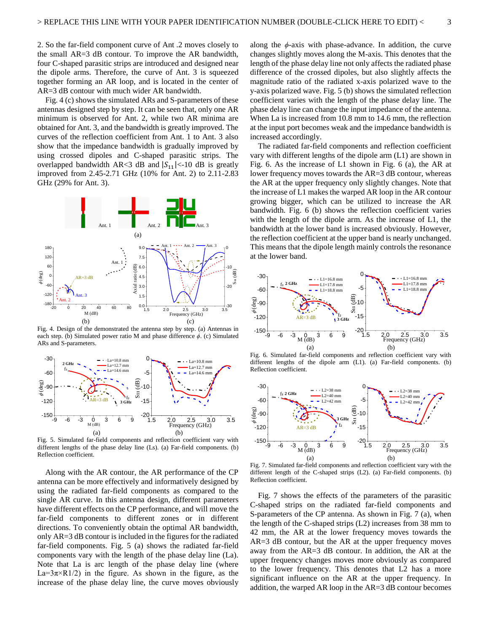2. So the far-field component curve of Ant .2 moves closely to the small AR=3 dB contour. To improve the AR bandwidth, four C-shaped parasitic strips are introduced and designed near the dipole arms. Therefore, the curve of Ant. 3 is squeezed together forming an AR loop, and is located in the center of AR=3 dB contour with much wider AR bandwidth.

Fig. 4 (c) shows the simulated ARs and S-parameters of these antennas designed step by step. It can be seen that, only one AR minimum is observed for Ant. 2, while two AR minima are obtained for Ant. 3, and the bandwidth is greatly improved. The curves of the reflection coefficient from Ant. 1 to Ant. 3 also show that the impedance bandwidth is gradually improved by using crossed dipoles and C-shaped parasitic strips. The overlapped bandwidth AR<3 dB and  $|S_{11}|<10$  dB is greatly improved from 2.45-2.71 GHz (10% for Ant. 2) to 2.11-2.83 GHz (29% for Ant. 3).



Fig. 4. Design of the demonstrated the antenna step by step. (a) Antennas in each step. (b) Simulated power ratio M and phase difference *ϕ*. (c) Simulated ARs and S-parameters.



Fig. 5. Simulated far-field components and reflection coefficient vary with different lengths of the phase delay line (Ls). (a) Far-field components. (b) Reflection coefficient.

Along with the AR contour, the AR performance of the CP antenna can be more effectively and informatively designed by using the radiated far-field components as compared to the single AR curve. In this antenna design, different parameters have different effects on the CP performance, and will move the far-field components to different zones or in different directions. To conveniently obtain the optimal AR bandwidth, only AR=3 dB contour is included in the figures for the radiated far-field components. Fig. 5 (a) shows the radiated far-field components vary with the length of the phase delay line (La). Note that La is arc length of the phase delay line (where  $La=3\pi\times R1/2$  in the figure. As shown in the figure, as the increase of the phase delay line, the curve moves obviously along the  $\phi$ -axis with phase-advance. In addition, the curve changes slightly moves along the M-axis. This denotes that the length of the phase delay line not only affects the radiated phase difference of the crossed dipoles, but also slightly affects the magnitude ratio of the radiated x-axis polarized wave to the y-axis polarized wave. Fig. 5 (b) shows the simulated reflection coefficient varies with the length of the phase delay line. The phase delay line can change the input impedance of the antenna. When La is increased from 10.8 mm to 14.6 mm, the reflection at the input port becomes weak and the impedance bandwidth is increased accordingly.

The radiated far-field components and reflection coefficient vary with different lengths of the dipole arm (L1) are shown in Fig. 6. As the increase of L1 shown in Fig. 6 (a), the AR at lower frequency moves towards the AR=3 dB contour, whereas the AR at the upper frequency only slightly changes. Note that the increase of L1 makes the warped AR loop in the AR contour growing bigger, which can be utilized to increase the AR bandwidth. Fig. 6 (b) shows the reflection coefficient varies with the length of the dipole arm. As the increase of L1, the bandwidth at the lower band is increased obviously. However, the reflection coefficient at the upper band is nearly unchanged. Ant. 1 Ant. 2  $\frac{2}{\pi}$  Ant. 3  $\frac{1}{\pi}$  o This means that the dipole length mainly controls the resonance at the lower band.



Fig. 6. Simulated far-field components and reflection coefficient vary with  $L = 10.8 \text{ mm}$   $\qquad \qquad$   $\qquad \qquad$   $\qquad \qquad$  different lengths of the dipole arm (L1). (a) Far-field components. (b)



Fig. 7. Simulated far-field components and reflection coefficient vary with the different length of the C-shaped strips (L2). (a) Far-field components. (b) Reflection coefficient.

Fig. 7 shows the effects of the parameters of the parasitic C-shaped strips on the radiated far-field components and S-parameters of the CP antenna. As shown in Fig. 7 (a), when the length of the C-shaped strips (L2) increases from 38 mm to 42 mm, the AR at the lower frequency moves towards the AR=3 dB contour, but the AR at the upper frequency moves away from the AR=3 dB contour. In addition, the AR at the upper frequency changes moves more obviously as compared to the lower frequency. This denotes that L2 has a more significant influence on the AR at the upper frequency. In addition, the warped AR loop in the AR=3 dB contour becomes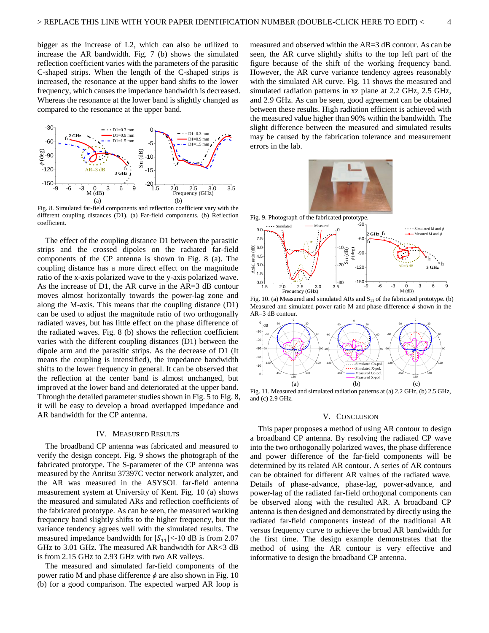bigger as the increase of L2, which can also be utilized to increase the AR bandwidth. Fig. 7 (b) shows the simulated reflection coefficient varies with the parameters of the parasitic C-shaped strips. When the length of the C-shaped strips is increased, the resonance at the upper band shifts to the lower frequency, which causes the impedance bandwidth is decreased. Whereas the resonance at the lower band is slightly changed as compared to the resonance at the upper band.



Fig. 8. Simulated far-field components and reflection coefficient vary with the different coupling distances (D1). (a) Far-field components. (b) Reflection coefficient.

The effect of the coupling distance D1 between the parasitic strips and the crossed dipoles on the radiated far-field components of the CP antenna is shown in Fig. 8 (a). The coupling distance has a more direct effect on the magnitude ratio of the x-axis polarized wave to the y-axis polarized wave. As the increase of D1, the AR curve in the AR=3 dB contour moves almost horizontally towards the power-lag zone and along the M-axis. This means that the coupling distance (D1) can be used to adjust the magnitude ratio of two orthogonally radiated waves, but has little effect on the phase difference of the radiated waves. Fig. 8 (b) shows the reflection coefficient varies with the different coupling distances (D1) between the dipole arm and the parasitic strips. As the decrease of D1 (It means the coupling is intensified), the impedance bandwidth shifts to the lower frequency in general. It can be observed that the reflection at the center band is almost unchanged, but improved at the lower band and deteriorated at the upper band. Through the detailed parameter studies shown in Fig. 5 to Fig. 8, it will be easy to develop a broad overlapped impedance and AR bandwidth for the CP antenna.

#### IV. MEASURED RESULTS

The broadband CP antenna was fabricated and measured to verify the design concept. Fig. 9 shows the photograph of the fabricated prototype. The S-parameter of the CP antenna was measured by the Anritsu 37397C vector network analyzer, and the AR was measured in the ASYSOL far-field antenna measurement system at University of Kent. Fig. 10 (a) shows the measured and simulated ARs and reflection coefficients of the fabricated prototype. As can be seen, the measured working frequency band slightly shifts to the higher frequency, but the variance tendency agrees well with the simulated results. The measured impedance bandwidth for  $|S_{11}|<10$  dB is from 2.07 GHz to 3.01 GHz. The measured AR bandwidth for AR<3 dB is from 2.15 GHz to 2.93 GHz with two AR valleys.

The measured and simulated far-field components of the power ratio M and phase difference *ϕ* are also shown in Fig. 10 (b) for a good comparison. The expected warped AR loop is measured and observed within the AR=3 dB contour. As can be seen, the AR curve slightly shifts to the top left part of the figure because of the shift of the working frequency band. However, the AR curve variance tendency agrees reasonably with the simulated AR curve. Fig. 11 shows the measured and simulated radiation patterns in xz plane at 2.2 GHz, 2.5 GHz, and 2.9 GHz. As can be seen, good agreement can be obtained between these results. High radiation efficient is achieved with the measured value higher than 90% within the bandwidth. The slight difference between the measured and simulated results may be caused by the fabrication tolerance and measurement errors in the lab.



Fig. 9. Photograph of the fabricated prototype.



Fig. 10. (a) Measured and simulated ARs and  $S<sub>11</sub>$  of the fabricated prototype. (b) Measured and simulated power ratio M and phase difference  $\phi$  shown in the AR=3 dB contour.



Fig. 11. Measured and simulated radiation patterns at (a) 2.2 GHz, (b) 2.5 GHz, and (c) 2.9 GHz.

#### V. CONCLUSION

This paper proposes a method of using AR contour to design a broadband CP antenna. By resolving the radiated CP wave into the two orthogonally polarized waves, the phase difference and power difference of the far-field components will be determined by its related AR contour. A series of AR contours can be obtained for different AR values of the radiated wave. Details of phase-advance, phase-lag, power-advance, and power-lag of the radiated far-field orthogonal components can be observed along with the resulted AR. A broadband CP antenna is then designed and demonstrated by directly using the radiated far-field components instead of the traditional AR versus frequency curve to achieve the broad AR bandwidth for the first time. The design example demonstrates that the method of using the AR contour is very effective and informative to design the broadband CP antenna.